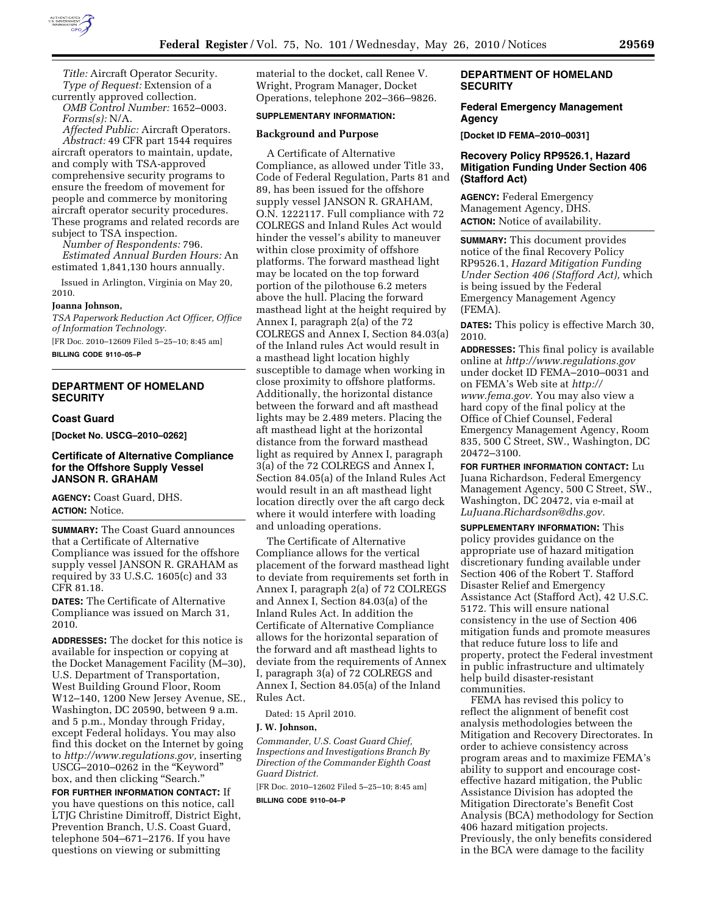

*Title:* Aircraft Operator Security. *Type of Request:* Extension of a currently approved collection.

*OMB Control Number:* 1652–0003. *Forms(s):* N/A.

*Affected Public:* Aircraft Operators. *Abstract:* 49 CFR part 1544 requires aircraft operators to maintain, update, and comply with TSA-approved comprehensive security programs to ensure the freedom of movement for people and commerce by monitoring aircraft operator security procedures. These programs and related records are subject to TSA inspection.

*Number of Respondents:* 796. *Estimated Annual Burden Hours:* An estimated 1,841,130 hours annually.

Issued in Arlington, Virginia on May 20, 2010.

#### **Joanna Johnson,**

*TSA Paperwork Reduction Act Officer, Office of Information Technology.* 

[FR Doc. 2010–12609 Filed 5–25–10; 8:45 am] **BILLING CODE 9110–05–P** 

# **DEPARTMENT OF HOMELAND SECURITY**

### **Coast Guard**

**[Docket No. USCG–2010–0262]** 

### **Certificate of Alternative Compliance for the Offshore Supply Vessel JANSON R. GRAHAM**

**AGENCY:** Coast Guard, DHS. **ACTION:** Notice.

**SUMMARY:** The Coast Guard announces that a Certificate of Alternative Compliance was issued for the offshore supply vessel JANSON R. GRAHAM as required by 33 U.S.C. 1605(c) and 33 CFR 81.18.

**DATES:** The Certificate of Alternative Compliance was issued on March 31, 2010.

**ADDRESSES:** The docket for this notice is available for inspection or copying at the Docket Management Facility (M–30), U.S. Department of Transportation, West Building Ground Floor, Room W12–140, 1200 New Jersey Avenue, SE., Washington, DC 20590, between 9 a.m. and 5 p.m., Monday through Friday, except Federal holidays. You may also find this docket on the Internet by going to *http://www.regulations.gov,* inserting USCG–2010–0262 in the ''Keyword'' box, and then clicking "Search."

**FOR FURTHER INFORMATION CONTACT:** If you have questions on this notice, call LTJG Christine Dimitroff, District Eight, Prevention Branch, U.S. Coast Guard, telephone 504–671–2176. If you have questions on viewing or submitting

material to the docket, call Renee V. Wright, Program Manager, Docket Operations, telephone 202–366–9826.

### **SUPPLEMENTARY INFORMATION:**

#### **Background and Purpose**

A Certificate of Alternative Compliance, as allowed under Title 33, Code of Federal Regulation, Parts 81 and 89, has been issued for the offshore supply vessel JANSON R. GRAHAM, O.N. 1222117. Full compliance with 72 COLREGS and Inland Rules Act would hinder the vessel's ability to maneuver within close proximity of offshore platforms. The forward masthead light may be located on the top forward portion of the pilothouse 6.2 meters above the hull. Placing the forward masthead light at the height required by Annex I, paragraph 2(a) of the 72 COLREGS and Annex I, Section 84.03(a) of the Inland rules Act would result in a masthead light location highly susceptible to damage when working in close proximity to offshore platforms. Additionally, the horizontal distance between the forward and aft masthead lights may be 2.489 meters. Placing the aft masthead light at the horizontal distance from the forward masthead light as required by Annex I, paragraph 3(a) of the 72 COLREGS and Annex I, Section 84.05(a) of the Inland Rules Act would result in an aft masthead light location directly over the aft cargo deck where it would interfere with loading and unloading operations.

The Certificate of Alternative Compliance allows for the vertical placement of the forward masthead light to deviate from requirements set forth in Annex I, paragraph 2(a) of 72 COLREGS and Annex I, Section 84.03(a) of the Inland Rules Act. In addition the Certificate of Alternative Compliance allows for the horizontal separation of the forward and aft masthead lights to deviate from the requirements of Annex I, paragraph 3(a) of 72 COLREGS and Annex I, Section 84.05(a) of the Inland Rules Act.

Dated: 15 April 2010.

#### **J. W. Johnson,**

*Commander, U.S. Coast Guard Chief, Inspections and Investigations Branch By Direction of the Commander Eighth Coast Guard District.* 

[FR Doc. 2010–12602 Filed 5–25–10; 8:45 am]

**BILLING CODE 9110–04–P** 

## **DEPARTMENT OF HOMELAND SECURITY**

#### **Federal Emergency Management Agency**

**[Docket ID FEMA–2010–0031]** 

## **Recovery Policy RP9526.1, Hazard Mitigation Funding Under Section 406 (Stafford Act)**

**AGENCY:** Federal Emergency Management Agency, DHS. **ACTION:** Notice of availability.

**SUMMARY:** This document provides notice of the final Recovery Policy RP9526.1, *Hazard Mitigation Funding Under Section 406 (Stafford Act),* which is being issued by the Federal Emergency Management Agency (FEMA).

**DATES:** This policy is effective March 30, 2010.

**ADDRESSES:** This final policy is available online at *http://www.regulations.gov*  under docket ID FEMA–2010–0031 and on FEMA's Web site at *http:// www.fema.gov.* You may also view a hard copy of the final policy at the Office of Chief Counsel, Federal Emergency Management Agency, Room 835, 500 C Street, SW., Washington, DC 20472–3100.

**FOR FURTHER INFORMATION CONTACT:** Lu Juana Richardson, Federal Emergency Management Agency, 500 C Street, SW., Washington, DC 20472, via e-mail at *LuJuana.Richardson@dhs.gov.* 

**SUPPLEMENTARY INFORMATION:** This policy provides guidance on the appropriate use of hazard mitigation discretionary funding available under Section 406 of the Robert T. Stafford Disaster Relief and Emergency Assistance Act (Stafford Act), 42 U.S.C. 5172. This will ensure national consistency in the use of Section 406 mitigation funds and promote measures that reduce future loss to life and property, protect the Federal investment in public infrastructure and ultimately help build disaster-resistant communities.

FEMA has revised this policy to reflect the alignment of benefit cost analysis methodologies between the Mitigation and Recovery Directorates. In order to achieve consistency across program areas and to maximize FEMA's ability to support and encourage costeffective hazard mitigation, the Public Assistance Division has adopted the Mitigation Directorate's Benefit Cost Analysis (BCA) methodology for Section 406 hazard mitigation projects. Previously, the only benefits considered in the BCA were damage to the facility